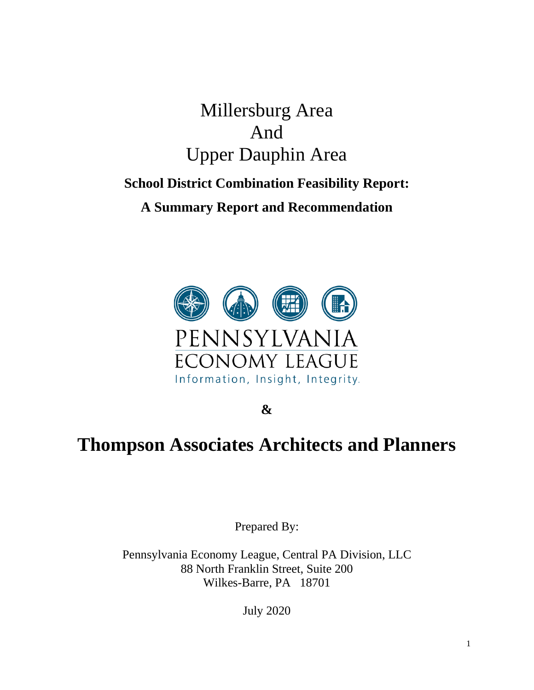## Millersburg Area And Upper Dauphin Area

## **School District Combination Feasibility Report: A Summary Report and Recommendation**



**&**

# **Thompson Associates Architects and Planners**

Prepared By:

Pennsylvania Economy League, Central PA Division, LLC 88 North Franklin Street, Suite 200 Wilkes-Barre, PA 18701

July 2020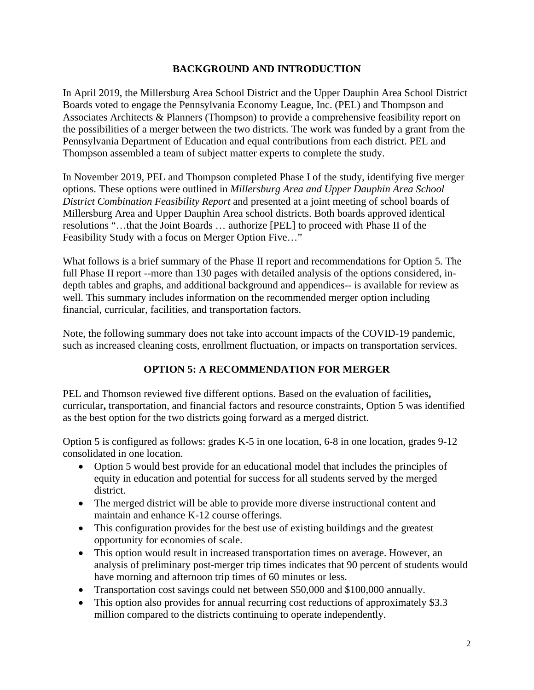### **BACKGROUND AND INTRODUCTION**

In April 2019, the Millersburg Area School District and the Upper Dauphin Area School District Boards voted to engage the Pennsylvania Economy League, Inc. (PEL) and Thompson and Associates Architects & Planners (Thompson) to provide a comprehensive feasibility report on the possibilities of a merger between the two districts. The work was funded by a grant from the Pennsylvania Department of Education and equal contributions from each district. PEL and Thompson assembled a team of subject matter experts to complete the study.

In November 2019, PEL and Thompson completed Phase I of the study, identifying five merger options. These options were outlined in *Millersburg Area and Upper Dauphin Area School District Combination Feasibility Report* and presented at a joint meeting of school boards of Millersburg Area and Upper Dauphin Area school districts. Both boards approved identical resolutions "…that the Joint Boards … authorize [PEL] to proceed with Phase II of the Feasibility Study with a focus on Merger Option Five…"

What follows is a brief summary of the Phase II report and recommendations for Option 5. The full Phase II report --more than 130 pages with detailed analysis of the options considered, indepth tables and graphs, and additional background and appendices-- is available for review as well. This summary includes information on the recommended merger option including financial, curricular, facilities, and transportation factors.

Note, the following summary does not take into account impacts of the COVID-19 pandemic, such as increased cleaning costs, enrollment fluctuation, or impacts on transportation services.

## **OPTION 5: A RECOMMENDATION FOR MERGER**

PEL and Thomson reviewed five different options. Based on the evaluation of facilities**,**  curricular**,** transportation, and financial factors and resource constraints, Option 5 was identified as the best option for the two districts going forward as a merged district.

Option 5 is configured as follows: grades K-5 in one location, 6-8 in one location, grades 9-12 consolidated in one location.

- Option 5 would best provide for an educational model that includes the principles of equity in education and potential for success for all students served by the merged district.
- The merged district will be able to provide more diverse instructional content and maintain and enhance K-12 course offerings.
- This configuration provides for the best use of existing buildings and the greatest opportunity for economies of scale.
- This option would result in increased transportation times on average. However, an analysis of preliminary post-merger trip times indicates that 90 percent of students would have morning and afternoon trip times of 60 minutes or less.
- Transportation cost savings could net between \$50,000 and \$100,000 annually.
- This option also provides for annual recurring cost reductions of approximately \$3.3 million compared to the districts continuing to operate independently.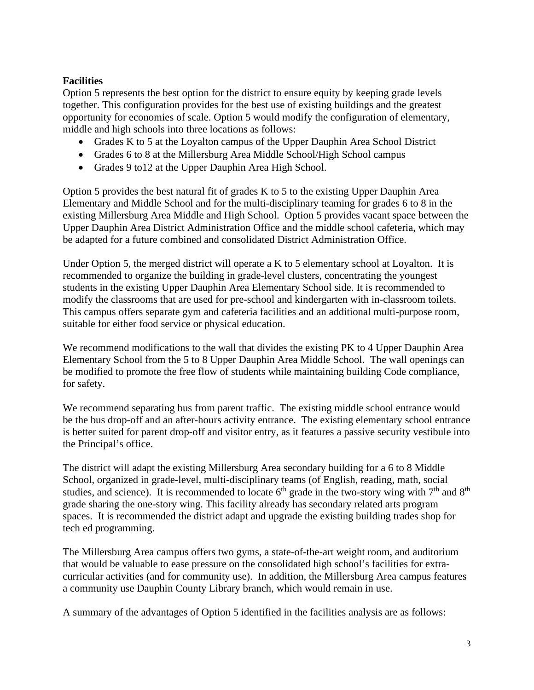### **Facilities**

Option 5 represents the best option for the district to ensure equity by keeping grade levels together. This configuration provides for the best use of existing buildings and the greatest opportunity for economies of scale. Option 5 would modify the configuration of elementary, middle and high schools into three locations as follows:

- Grades K to 5 at the Loyalton campus of the Upper Dauphin Area School District
- Grades 6 to 8 at the Millersburg Area Middle School/High School campus
- Grades 9 to 12 at the Upper Dauphin Area High School.

Option 5 provides the best natural fit of grades K to 5 to the existing Upper Dauphin Area Elementary and Middle School and for the multi-disciplinary teaming for grades 6 to 8 in the existing Millersburg Area Middle and High School. Option 5 provides vacant space between the Upper Dauphin Area District Administration Office and the middle school cafeteria, which may be adapted for a future combined and consolidated District Administration Office.

Under Option 5, the merged district will operate a K to 5 elementary school at Loyalton. It is recommended to organize the building in grade-level clusters, concentrating the youngest students in the existing Upper Dauphin Area Elementary School side. It is recommended to modify the classrooms that are used for pre-school and kindergarten with in-classroom toilets. This campus offers separate gym and cafeteria facilities and an additional multi-purpose room, suitable for either food service or physical education.

We recommend modifications to the wall that divides the existing PK to 4 Upper Dauphin Area Elementary School from the 5 to 8 Upper Dauphin Area Middle School. The wall openings can be modified to promote the free flow of students while maintaining building Code compliance, for safety.

We recommend separating bus from parent traffic. The existing middle school entrance would be the bus drop-off and an after-hours activity entrance. The existing elementary school entrance is better suited for parent drop-off and visitor entry, as it features a passive security vestibule into the Principal's office.

The district will adapt the existing Millersburg Area secondary building for a 6 to 8 Middle School, organized in grade-level, multi-disciplinary teams (of English, reading, math, social studies, and science). It is recommended to locate  $6<sup>th</sup>$  grade in the two-story wing with  $7<sup>th</sup>$  and  $8<sup>th</sup>$ grade sharing the one-story wing. This facility already has secondary related arts program spaces. It is recommended the district adapt and upgrade the existing building trades shop for tech ed programming.

The Millersburg Area campus offers two gyms, a state-of-the-art weight room, and auditorium that would be valuable to ease pressure on the consolidated high school's facilities for extracurricular activities (and for community use). In addition, the Millersburg Area campus features a community use Dauphin County Library branch, which would remain in use.

A summary of the advantages of Option 5 identified in the facilities analysis are as follows: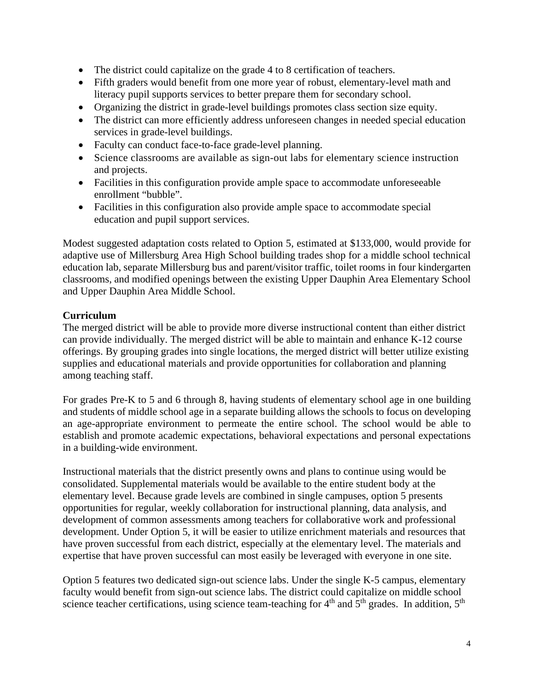- The district could capitalize on the grade 4 to 8 certification of teachers.
- Fifth graders would benefit from one more year of robust, elementary-level math and literacy pupil supports services to better prepare them for secondary school.
- Organizing the district in grade-level buildings promotes class section size equity.
- The district can more efficiently address unforeseen changes in needed special education services in grade-level buildings.
- Faculty can conduct face-to-face grade-level planning.
- Science classrooms are available as sign-out labs for elementary science instruction and projects.
- Facilities in this configuration provide ample space to accommodate unforeseeable enrollment "bubble".
- Facilities in this configuration also provide ample space to accommodate special education and pupil support services.

Modest suggested adaptation costs related to Option 5, estimated at \$133,000, would provide for adaptive use of Millersburg Area High School building trades shop for a middle school technical education lab, separate Millersburg bus and parent/visitor traffic, toilet rooms in four kindergarten classrooms, and modified openings between the existing Upper Dauphin Area Elementary School and Upper Dauphin Area Middle School.

## **Curriculum**

The merged district will be able to provide more diverse instructional content than either district can provide individually. The merged district will be able to maintain and enhance K-12 course offerings. By grouping grades into single locations, the merged district will better utilize existing supplies and educational materials and provide opportunities for collaboration and planning among teaching staff.

For grades Pre-K to 5 and 6 through 8, having students of elementary school age in one building and students of middle school age in a separate building allows the schools to focus on developing an age-appropriate environment to permeate the entire school. The school would be able to establish and promote academic expectations, behavioral expectations and personal expectations in a building-wide environment.

Instructional materials that the district presently owns and plans to continue using would be consolidated. Supplemental materials would be available to the entire student body at the elementary level. Because grade levels are combined in single campuses, option 5 presents opportunities for regular, weekly collaboration for instructional planning, data analysis, and development of common assessments among teachers for collaborative work and professional development. Under Option 5, it will be easier to utilize enrichment materials and resources that have proven successful from each district, especially at the elementary level. The materials and expertise that have proven successful can most easily be leveraged with everyone in one site.

Option 5 features two dedicated sign-out science labs. Under the single K-5 campus, elementary faculty would benefit from sign-out science labs. The district could capitalize on middle school science teacher certifications, using science team-teaching for  $4<sup>th</sup>$  and  $5<sup>th</sup>$  grades. In addition,  $5<sup>th</sup>$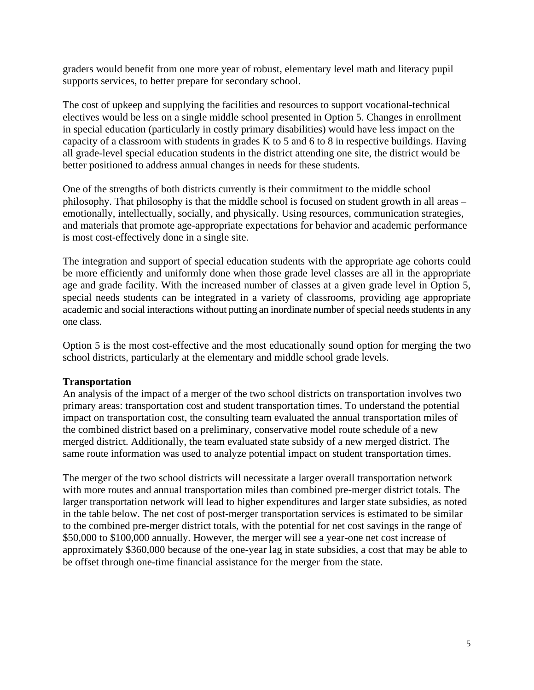graders would benefit from one more year of robust, elementary level math and literacy pupil supports services, to better prepare for secondary school.

The cost of upkeep and supplying the facilities and resources to support vocational-technical electives would be less on a single middle school presented in Option 5. Changes in enrollment in special education (particularly in costly primary disabilities) would have less impact on the capacity of a classroom with students in grades K to 5 and 6 to 8 in respective buildings. Having all grade-level special education students in the district attending one site, the district would be better positioned to address annual changes in needs for these students.

One of the strengths of both districts currently is their commitment to the middle school philosophy. That philosophy is that the middle school is focused on student growth in all areas – emotionally, intellectually, socially, and physically. Using resources, communication strategies, and materials that promote age-appropriate expectations for behavior and academic performance is most cost-effectively done in a single site.

The integration and support of special education students with the appropriate age cohorts could be more efficiently and uniformly done when those grade level classes are all in the appropriate age and grade facility. With the increased number of classes at a given grade level in Option 5, special needs students can be integrated in a variety of classrooms, providing age appropriate academic and social interactions without putting an inordinate number of special needs students in any one class.

Option 5 is the most cost-effective and the most educationally sound option for merging the two school districts, particularly at the elementary and middle school grade levels.

#### **Transportation**

An analysis of the impact of a merger of the two school districts on transportation involves two primary areas: transportation cost and student transportation times. To understand the potential impact on transportation cost, the consulting team evaluated the annual transportation miles of the combined district based on a preliminary, conservative model route schedule of a new merged district. Additionally, the team evaluated state subsidy of a new merged district. The same route information was used to analyze potential impact on student transportation times.

The merger of the two school districts will necessitate a larger overall transportation network with more routes and annual transportation miles than combined pre-merger district totals. The larger transportation network will lead to higher expenditures and larger state subsidies, as noted in the table below. The net cost of post-merger transportation services is estimated to be similar to the combined pre-merger district totals, with the potential for net cost savings in the range of \$50,000 to \$100,000 annually. However, the merger will see a year-one net cost increase of approximately \$360,000 because of the one-year lag in state subsidies, a cost that may be able to be offset through one-time financial assistance for the merger from the state.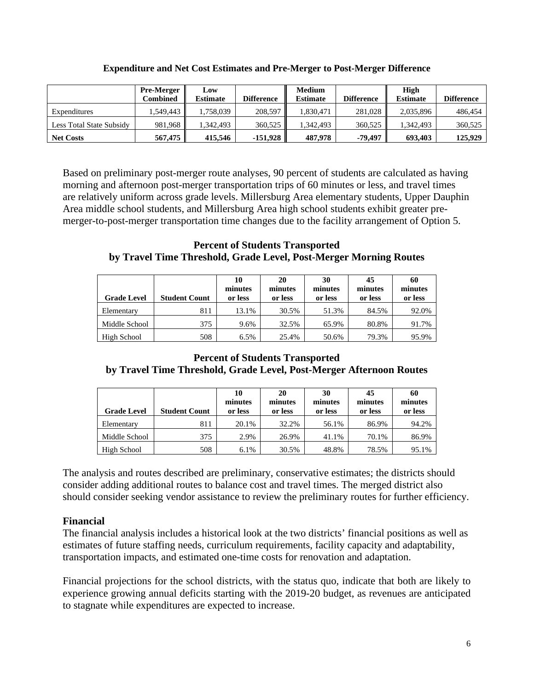|                          | <b>Pre-Merger</b><br>Combined | Low<br><b>Estimate</b> | <b>Difference</b> | <b>Medium</b><br>Estimate | <b>Difference</b> | <b>High</b><br><b>Estimate</b> | <b>Difference</b> |
|--------------------------|-------------------------------|------------------------|-------------------|---------------------------|-------------------|--------------------------------|-------------------|
| Expenditures             | 1.549.443                     | 1,758,039              | 208,597           | 1.830.471                 | 281,028           | 2,035,896                      | 486,454           |
| Less Total State Subsidy | 981,968                       | 1.342.493              | 360.525           | 1.342.493                 | 360.525           | 1.342.493                      | 360,525           |
| <b>Net Costs</b>         | 567,475                       | 415.546                | $-151.928$        | 487,978                   | -79.497           | 693.403                        | 125,929           |

#### **Expenditure and Net Cost Estimates and Pre-Merger to Post-Merger Difference**

Based on preliminary post-merger route analyses, 90 percent of students are calculated as having morning and afternoon post-merger transportation trips of 60 minutes or less, and travel times are relatively uniform across grade levels. Millersburg Area elementary students, Upper Dauphin Area middle school students, and Millersburg Area high school students exhibit greater premerger-to-post-merger transportation time changes due to the facility arrangement of Option 5.

**Percent of Students Transported by Travel Time Threshold, Grade Level, Post-Merger Morning Routes**

| <b>Grade Level</b> | <b>Student Count</b> | 10<br>minutes<br>or less | 20<br>minutes<br>or less | 30<br>minutes<br>or less | 45<br>minutes<br>or less | 60<br>minutes<br>or less |
|--------------------|----------------------|--------------------------|--------------------------|--------------------------|--------------------------|--------------------------|
| Elementary         | 811                  | 13.1%                    | 30.5%                    | 51.3%                    | 84.5%                    | 92.0%                    |
| Middle School      | 375                  | 9.6%                     | 32.5%                    | 65.9%                    | 80.8%                    | 91.7%                    |
| High School        | 508                  | 6.5%                     | 25.4%                    | 50.6%                    | 79.3%                    | 95.9%                    |

#### **Percent of Students Transported by Travel Time Threshold, Grade Level, Post-Merger Afternoon Routes**

| <b>Grade Level</b> | <b>Student Count</b> | 10<br>minutes<br>or less | 20<br>minutes<br>or less | 30<br>minutes<br>or less | 45<br>minutes<br>or less | 60<br>minutes<br>or less |
|--------------------|----------------------|--------------------------|--------------------------|--------------------------|--------------------------|--------------------------|
| Elementary         | 811                  | 20.1%                    | 32.2%                    | 56.1%                    | 86.9%                    | 94.2%                    |
| Middle School      | 375                  | 2.9%                     | 26.9%                    | 41.1%                    | 70.1%                    | 86.9%                    |
| High School        | 508                  | 6.1%                     | 30.5%                    | 48.8%                    | 78.5%                    | 95.1%                    |

The analysis and routes described are preliminary, conservative estimates; the districts should consider adding additional routes to balance cost and travel times. The merged district also should consider seeking vendor assistance to review the preliminary routes for further efficiency.

#### **Financial**

The financial analysis includes a historical look at the two districts' financial positions as well as estimates of future staffing needs, curriculum requirements, facility capacity and adaptability, transportation impacts, and estimated one-time costs for renovation and adaptation.

Financial projections for the school districts, with the status quo, indicate that both are likely to experience growing annual deficits starting with the 2019-20 budget, as revenues are anticipated to stagnate while expenditures are expected to increase.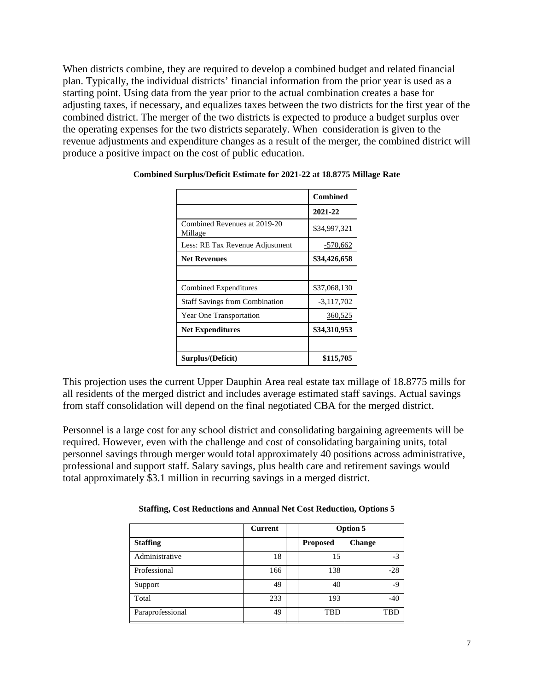When districts combine, they are required to develop a combined budget and related financial plan. Typically, the individual districts' financial information from the prior year is used as a starting point. Using data from the year prior to the actual combination creates a base for adjusting taxes, if necessary, and equalizes taxes between the two districts for the first year of the combined district. The merger of the two districts is expected to produce a budget surplus over the operating expenses for the two districts separately. When consideration is given to the revenue adjustments and expenditure changes as a result of the merger, the combined district will produce a positive impact on the cost of public education.

|                                         | <b>Combined</b> |
|-----------------------------------------|-----------------|
|                                         | 2021-22         |
| Combined Revenues at 2019-20<br>Millage | \$34,997,321    |
| Less: RE Tax Revenue Adjustment         | $-570,662$      |
| <b>Net Revenues</b>                     | \$34,426,658    |
|                                         |                 |
| Combined Expenditures                   | \$37,068,130    |
| <b>Staff Savings from Combination</b>   | $-3,117,702$    |
| Year One Transportation                 | 360,525         |
| <b>Net Expenditures</b>                 | \$34,310,953    |
|                                         |                 |
| Surplus/(Deficit)                       | \$115,705       |

#### **Combined Surplus/Deficit Estimate for 2021-22 at 18.8775 Millage Rate**

This projection uses the current Upper Dauphin Area real estate tax millage of 18.8775 mills for all residents of the merged district and includes average estimated staff savings. Actual savings from staff consolidation will depend on the final negotiated CBA for the merged district.

Personnel is a large cost for any school district and consolidating bargaining agreements will be required. However, even with the challenge and cost of consolidating bargaining units, total personnel savings through merger would total approximately 40 positions across administrative, professional and support staff. Salary savings, plus health care and retirement savings would total approximately \$3.1 million in recurring savings in a merged district.

|                  | <b>Current</b> | Option 5        |               |
|------------------|----------------|-----------------|---------------|
| <b>Staffing</b>  |                | <b>Proposed</b> | <b>Change</b> |
| Administrative   | 18             | 15              | $-3$          |
| Professional     | 166            | 138             | $-28$         |
| Support          | 49             | 40              | -9            |
| Total            | 233            | 193             | $-40$         |
| Paraprofessional | 49             | TBD             | TBD           |

**Staffing, Cost Reductions and Annual Net Cost Reduction, Options 5**